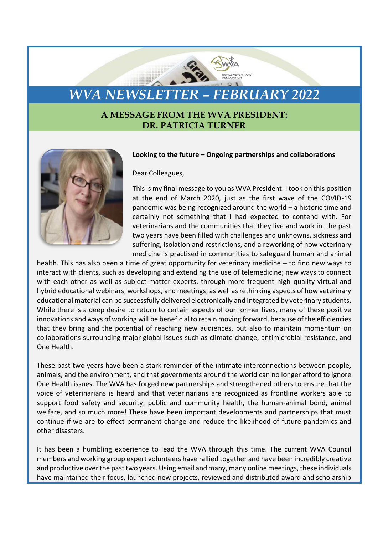## *WVA NEWSLETTER – FEBRUARY 2022*

## **A MESSAGE FROM THE WVA PRESIDENT: DR. PATRICIA TURNER**



## **Looking to the future – Ongoing partnerships and collaborations**

Dear Colleagues,

This is my final message to you as WVA President. I took on this position at the end of March 2020, just as the first wave of the COVID-19 pandemic was being recognized around the world – a historic time and certainly not something that I had expected to contend with. For veterinarians and the communities that they live and work in, the past two years have been filled with challenges and unknowns, sickness and suffering, isolation and restrictions, and a reworking of how veterinary medicine is practised in communities to safeguard human and animal

health. This has also been a time of great opportunity for veterinary medicine – to find new ways to interact with clients, such as developing and extending the use of telemedicine; new ways to connect with each other as well as subject matter experts, through more frequent high quality virtual and hybrid educational webinars, workshops, and meetings; as well as rethinking aspects of how veterinary educational material can be successfully delivered electronically and integrated by veterinary students. While there is a deep desire to return to certain aspects of our former lives, many of these positive innovations and ways of working will be beneficial to retain moving forward, because of the efficiencies that they bring and the potential of reaching new audiences, but also to maintain momentum on collaborations surrounding major global issues such as climate change, antimicrobial resistance, and One Health.

These past two years have been a stark reminder of the intimate interconnections between people, animals, and the environment, and that governments around the world can no longer afford to ignore One Health issues. The WVA has forged new partnerships and strengthened others to ensure that the voice of veterinarians is heard and that veterinarians are recognized as frontline workers able to support food safety and security, public and community health, the human-animal bond, animal welfare, and so much more! These have been important developments and partnerships that must continue if we are to effect permanent change and reduce the likelihood of future pandemics and other disasters.

It has been a humbling experience to lead the WVA through this time. The current WVA Council members and working group expert volunteers have rallied together and have been incredibly creative and productive over the past two years. Using email and many, many online meetings, these individuals have maintained their focus, launched new projects, reviewed and distributed award and scholarship